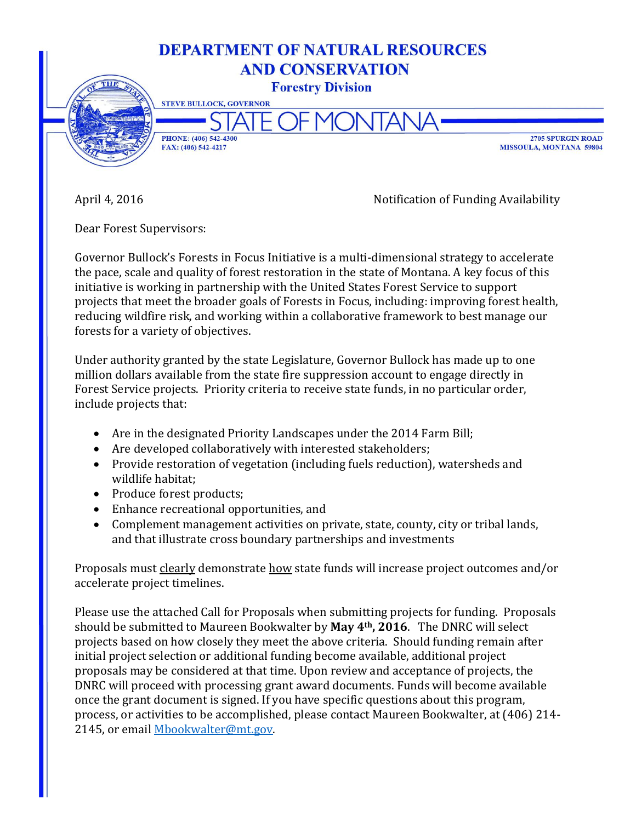

April 4, 2016 2016 2016 2018 2019 2018 2019 2018 2020 2021 2022 2023 2024 2022 2023 2024 2022 2023 2024 2022 20

Dear Forest Supervisors:

Governor Bullock's Forests in Focus Initiative is a multi-dimensional strategy to accelerate the pace, scale and quality of forest restoration in the state of Montana. A key focus of this initiative is working in partnership with the United States Forest Service to support projects that meet the broader goals of Forests in Focus, including: improving forest health, reducing wildfire risk, and working within a collaborative framework to best manage our forests for a variety of objectives.

Under authority granted by the state Legislature, Governor Bullock has made up to one million dollars available from the state fire suppression account to engage directly in Forest Service projects. Priority criteria to receive state funds, in no particular order, include projects that:

- Are in the designated Priority Landscapes under the 2014 Farm Bill;
- Are developed collaboratively with interested stakeholders;
- Provide restoration of vegetation (including fuels reduction), watersheds and wildlife habitat;
- Produce forest products;
- Enhance recreational opportunities, and
- Complement management activities on private, state, county, city or tribal lands, and that illustrate cross boundary partnerships and investments

Proposals must clearly demonstrate how state funds will increase project outcomes and/or accelerate project timelines.

Please use the attached Call for Proposals when submitting projects for funding. Proposals should be submitted to Maureen Bookwalter by **May 4th, 2016**. The DNRC will select projects based on how closely they meet the above criteria. Should funding remain after initial project selection or additional funding become available, additional project proposals may be considered at that time. Upon review and acceptance of projects, the DNRC will proceed with processing grant award documents. Funds will become available once the grant document is signed. If you have specific questions about this program, process, or activities to be accomplished, please contact Maureen Bookwalter, at (406) 214- 2145, or email [Mbookwalter@mt.gov.](mailto:Mbookwalter@mt.gov)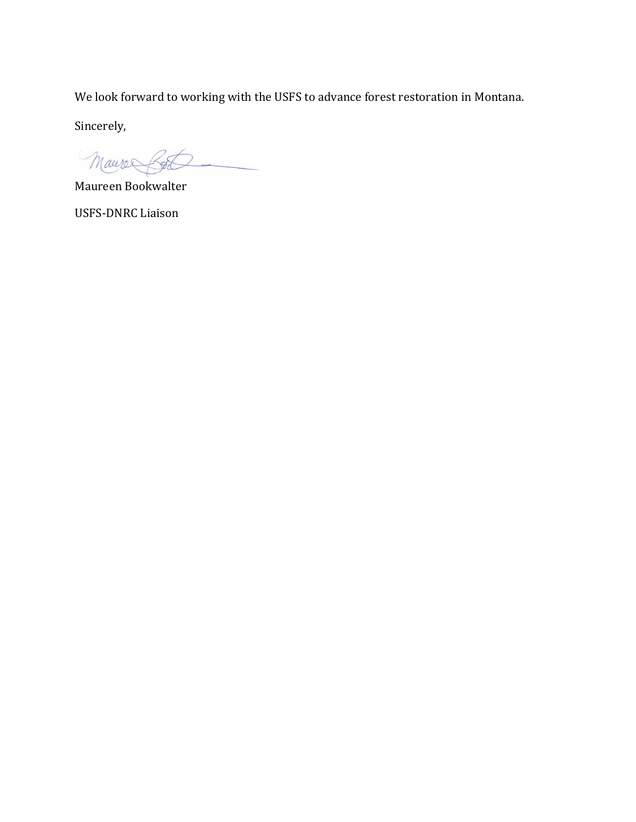We look forward to working with the USFS to advance forest restoration in Montana.

Sincerely,

Maure Bot

Maureen Bookwalter

USFS-DNRC Liaison